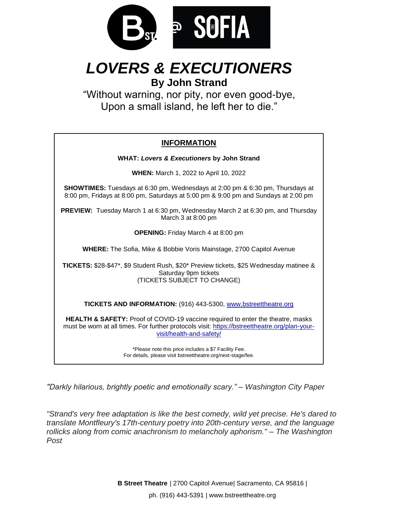

# *LOVERS & EXECUTIONERS*

**By John Strand**

"Without warning, nor pity, nor even good-bye, Upon a small island, he left her to die."

## **INFORMATION**

**WHAT:** *Lovers & Executioners* **by John Strand WHEN:** March 1, 2022 to April 10, 2022 **SHOWTIMES:** Tuesdays at 6:30 pm, Wednesdays at 2:00 pm & 6:30 pm, Thursdays at 8:00 pm, Fridays at 8:00 pm, Saturdays at 5:00 pm & 9:00 pm and Sundays at 2:00 pm **PREVIEW:** Tuesday March 1 at 6:30 pm, Wednesday March 2 at 6:30 pm, and Thursday March 3 at 8:00 pm **OPENING:** Friday March 4 at 8:00 pm **WHERE:** The Sofia, Mike & Bobbie Voris Mainstage, 2700 Capitol Avenue **TICKETS:** \$28-\$47\*, \$9 Student Rush, \$20\* Preview tickets, \$25 Wednesday matinee & Saturday 9pm tickets (TICKETS SUBJECT TO CHANGE) **TICKETS AND INFORMATION:** (916) 443-5300, www.bstreettheatre.org **HEALTH & SAFETY:** Proof of COVID-19 vaccine required to enter the theatre, masks must be worn at all times. For further protocols visit: https://bstreettheatre.org/plan-yourvisit/health-and-safety/ \*Please note this price includes a \$7 Facility Fee. For details, please visit bstreettheatre.org/next-stage/fee.

*"Darkly hilarious, brightly poetic and emotionally scary."* – *Washington City Paper*

*"Strand's very free adaptation is like the best comedy, wild yet precise. He's dared to translate Montfleury's 17th-century poetry into 20th-century verse, and the language rollicks along from comic anachronism to melancholy aphorism." – The Washington Post*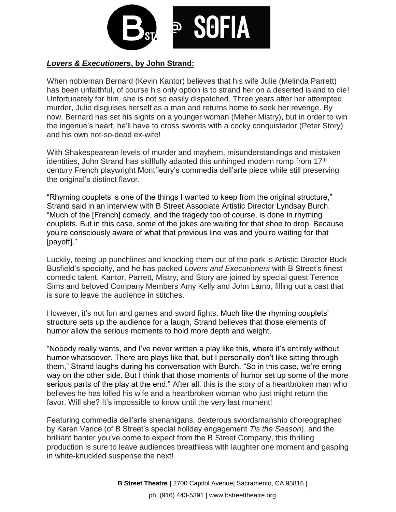

### *Lovers & Executioners***, by John Strand:**

When nobleman Bernard (Kevin Kantor) believes that his wife Julie (Melinda Parrett) has been unfaithful, of course his only option is to strand her on a deserted island to die! Unfortunately for him, she is not so easily dispatched. Three years after her attempted murder, Julie disguises herself as a man and returns home to seek her revenge. By now, Bernard has set his sights on a younger woman (Meher Mistry), but in order to win the ingenue's heart, he'll have to cross swords with a cocky conquistador (Peter Story) and his own not-so-dead ex-wife!

With Shakespearean levels of murder and mayhem, misunderstandings and mistaken identities, John Strand has skillfully adapted this unhinged modern romp from 17<sup>th</sup> century French playwright Montfleury's commedia dell'arte piece while still preserving the original's distinct flavor.

"Rhyming couplets is one of the things I wanted to keep from the original structure," Strand said in an interview with B Street Associate Artistic Director Lyndsay Burch. "Much of the [French] comedy, and the tragedy too of course, is done in rhyming couplets. But in this case, some of the jokes are waiting for that shoe to drop. Because you're consciously aware of what that previous line was and you're waiting for that [payoff]."

Luckily, teeing up punchlines and knocking them out of the park is Artistic Director Buck Busfield's specialty, and he has packed *Lovers and Executioners* with B Street's finest comedic talent. Kantor, Parrett, Mistry, and Story are joined by special guest Terence Sims and beloved Company Members Amy Kelly and John Lamb, filling out a cast that is sure to leave the audience in stitches.

However, it's not fun and games and sword fights. Much like the rhyming couplets' structure sets up the audience for a laugh, Strand believes that those elements of humor allow the serious moments to hold more depth and weight.

"Nobody really wants, and I've never written a play like this, where it's entirely without humor whatsoever. There are plays like that, but I personally don't like sitting through them," Strand laughs during his conversation with Burch. "So in this case, we're erring way on the other side. But I think that those moments of humor set up some of the more serious parts of the play at the end." After all, this is the story of a heartbroken man who believes he has killed his wife and a heartbroken woman who just might return the favor. Will she? It's impossible to know until the very last moment!

Featuring commedia dell'arte shenanigans, dexterous swordsmanship choreographed by Karen Vance (of B Street's special holiday engagement *Tis the Season*), and the brilliant banter you've come to expect from the B Street Company, this thrilling production is sure to leave audiences breathless with laughter one moment and gasping in white-knuckled suspense the next!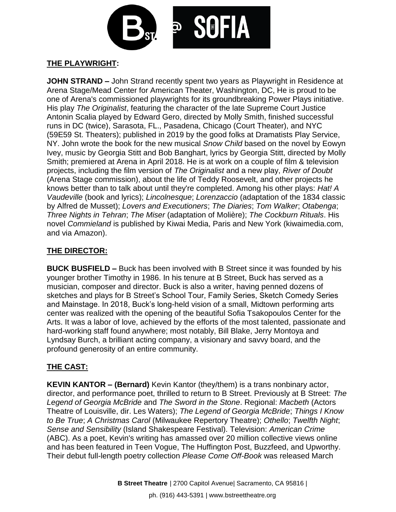

#### **THE PLAYWRIGHT:**

**JOHN STRAND –** John Strand recently spent two years as Playwright in Residence at Arena Stage/Mead Center for American Theater, Washington, DC, He is proud to be one of Arena's commissioned playwrights for its groundbreaking Power Plays initiative. His play *The Originalist*, featuring the character of the late Supreme Court Justice Antonin Scalia played by Edward Gero, directed by Molly Smith, finished successful runs in DC (twice), Sarasota, FL., Pasadena, Chicago (Court Theater), and NYC (59E59 St. Theaters); published in 2019 by the good folks at Dramatists Play Service, NY. John wrote the book for the new musical *Snow Child* based on the novel by Eowyn Ivey, music by Georgia Stitt and Bob Banghart, lyrics by Georgia Stitt, directed by Molly Smith; premiered at Arena in April 2018. He is at work on a couple of film & television projects, including the film version of *The Originalist* and a new play, *River of Doubt*  (Arena Stage commission), about the life of Teddy Roosevelt, and other projects he knows better than to talk about until they're completed. Among his other plays: *Hat! A Vaudeville* (book and lyrics); *Lincolnesque*; *Lorenzaccio* (adaptation of the 1834 classic by Alfred de Musset); *Lovers and Executioners*; *The Diaries*; *Tom Walker*; *Otabenga*; *Three Nights in Tehran*; *The Miser* (adaptation of Molière); *The Cockburn Rituals*. His novel *Commieland* is published by Kiwai Media, Paris and New York (kiwaimedia.com, and via Amazon).

#### **THE DIRECTOR:**

**BUCK BUSFIELD –** Buck has been involved with B Street since it was founded by his younger brother Timothy in 1986. In his tenure at B Street, Buck has served as a musician, composer and director. Buck is also a writer, having penned dozens of sketches and plays for B Street's School Tour, Family Series, Sketch Comedy Series and Mainstage. In 2018, Buck's long-held vision of a small, Midtown performing arts center was realized with the opening of the beautiful Sofia Tsakopoulos Center for the Arts. It was a labor of love, achieved by the efforts of the most talented, passionate and hard-working staff found anywhere; most notably, Bill Blake, Jerry Montoya and Lyndsay Burch, a brilliant acting company, a visionary and savvy board, and the profound generosity of an entire community.

#### **THE CAST:**

**KEVIN KANTOR – (Bernard)** Kevin Kantor (they/them) is a trans nonbinary actor, director, and performance poet, thrilled to return to B Street. Previously at B Street: *The Legend of Georgia McBride* and *The Sword in the Stone*. Regional: *Macbeth* (Actors Theatre of Louisville, dir. Les Waters); *The Legend of Georgia McBride*; *Things I Know to Be True*; *A Christmas Carol* (Milwaukee Repertory Theatre); *Othello*; *Twelfth Night*; *Sense and Sensibility* (Island Shakespeare Festival). Television: *American Crime*  (ABC). As a poet, Kevin's writing has amassed over 20 million collective views online and has been featured in Teen Vogue, The Huffington Post, Buzzfeed, and Upworthy. Their debut full-length poetry collection *Please Come Off-Book* was released March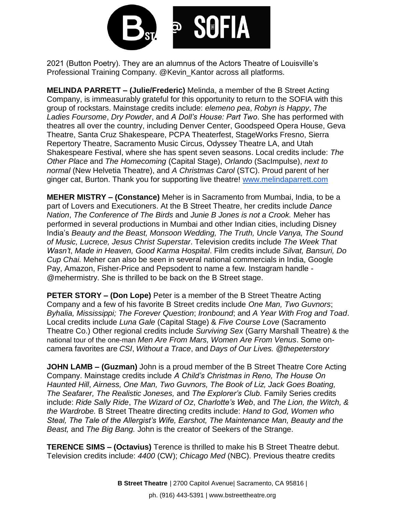

2021 (Button Poetry). They are an alumnus of the Actors Theatre of Louisville's Professional Training Company. @Kevin\_Kantor across all platforms.

**MELINDA PARRETT – (Julie/Frederic)** Melinda, a member of the B Street Acting Company, is immeasurably grateful for this opportunity to return to the SOFIA with this group of rockstars. Mainstage credits include: *elemeno pea*, *Robyn is Happy*, *The Ladies Foursome*, *Dry Powder*, and *A Doll's House: Part Two*. She has performed with theatres all over the country, including Denver Center, Goodspeed Opera House, Geva Theatre, Santa Cruz Shakespeare, PCPA Theaterfest, StageWorks Fresno, Sierra Repertory Theatre, Sacramento Music Circus, Odyssey Theatre LA, and Utah Shakespeare Festival, where she has spent seven seasons. Local credits include: *The Other Place* and *The Homecoming* (Capital Stage), *Orlando* (SacImpulse), *next to normal* (New Helvetia Theatre), and *A Christmas Carol* (STC). Proud parent of her ginger cat, Burton. Thank you for supporting live theatre! [www.melindaparrett.com](http://www.melindaparrett.com/)

**MEHER MISTRY – (Constance)** Meher is in Sacramento from Mumbai, India, to be a part of Lovers and Executioners. At the B Street Theatre, her credits include *Dance Nation*, *The Conference of The Birds* and *Junie B Jones is not a Crook.* Meher has performed in several productions in Mumbai and other Indian cities, including Disney India's *Beauty and the Beast, Monsoon Wedding, The Truth, Uncle Vanya, The Sound of Music, Lucrece, Jesus Christ Superstar*. Television credits include *The Week That Wasn't*, *Made in Heaven, Good Karma Hospital*. Film credits include *Silvat, Bansuri, Do Cup Chai.* Meher can also be seen in several national commercials in India, Google Pay, Amazon, Fisher-Price and Pepsodent to name a few. Instagram handle - @mehermistry. She is thrilled to be back on the B Street stage.

**PETER STORY – (Don Lope)** Peter is a member of the B Street Theatre Acting Company and a few of his favorite B Street credits include *One Man, Two Guvnors*; *Byhalia, Mississippi; The Forever Question*; *Ironbound*; and *A Year With Frog and Toad*. Local credits include *Luna Gale* (Capital Stage) & *Five Course Love* (Sacramento Theatre Co.) Other regional credits include *Surviving Sex* (Garry Marshall Theatre) & the national tour of the one-man *Men Are From Mars, Women Are From Venus*. Some oncamera favorites are *CSI*, *Without a Trace*, and *Days of Our Lives. @thepeterstory*

**JOHN LAMB – (Guzman)** John is a proud member of the B Street Theatre Core Acting Company. Mainstage credits include *A Child's Christmas in Reno, The House On Haunted Hill*, *Airness, One Man, Two Guvnors, The Book of Liz, Jack Goes Boating, The Seafarer, The Realistic Joneses,* and *The Explorer's Club.* Family Series credits include: *Ride Sally Ride*, *The Wizard of Oz*, *Charlotte's Web*, and *The Lion, the Witch, & the Wardrobe.* B Street Theatre directing credits include: *Hand to God, Women who Steal, The Tale of the Allergist's Wife, Earshot, The Maintenance Man, Beauty and the Beast,* and *The Big Bang.* John is the creator of Seekers of the Strange.

**TERENCE SIMS – (Octavius)** Terence is thrilled to make his B Street Theatre debut. Television credits include: *4400* (CW); *Chicago Med* (NBC). Previous theatre credits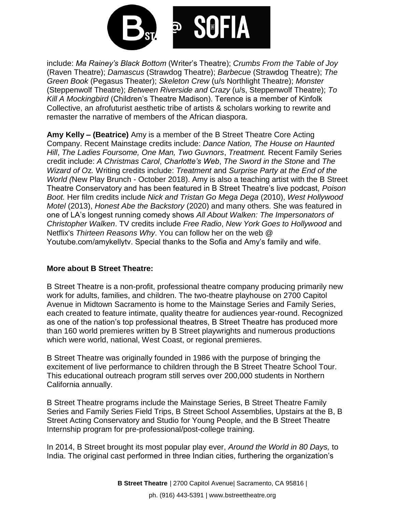

include: *Ma Rainey's Black Bottom* (Writer's Theatre); *Crumbs From the Table of Joy* (Raven Theatre); *Damascus* (Strawdog Theatre); *Barbecue* (Strawdog Theatre); *The Green Book* (Pegasus Theater); *Skeleton Crew* (u/s Northlight Theatre); *Monster* (Steppenwolf Theatre); *Between Riverside and Crazy* (u/s, Steppenwolf Theatre); *To Kill A Mockingbird* (Children's Theatre Madison). Terence is a member of Kinfolk Collective, an afrofuturist aesthetic tribe of artists & scholars working to rewrite and remaster the narrative of members of the African diaspora.

**Amy Kelly – (Beatrice)** Amy is a member of the B Street Theatre Core Acting Company. Recent Mainstage credits include: *Dance Nation, The House on Haunted Hill*, *The Ladies Foursome, One Man, Two Guvnors*, *Treatment.* Recent Family Series credit include: *A Christmas Carol*, *Charlotte's Web*, *The Sword in the Stone* and *The Wizard of O*z*.* Writing credits include: *Treatment* and *Surprise Party at the End of the World (*New Play Brunch - October 2018). Amy is also a teaching artist with the B Street Theatre Conservatory and has been featured in B Street Theatre's live podcast, *Poison Boot.* Her film credits include *Nick and Tristan Go Mega Dega* (2010), *West Hollywood Motel* (2013), *Honest Abe the Backstory* (2020) and many others. She was featured in one of LA's longest running comedy shows *All About Walken: The Impersonators of Christopher Walken*. TV credits include *Free Radio*, *New York Goes to Hollywood* and Netflix's *Thirteen Reasons Why*. You can follow her on the web @ Youtube.com/amykellytv. Special thanks to the Sofia and Amy's family and wife.

#### **More about B Street Theatre:**

B Street Theatre is a non-profit, professional theatre company producing primarily new work for adults, families, and children. The two-theatre playhouse on 2700 Capitol Avenue in Midtown Sacramento is home to the [Mainstage](http://www.bstreettheatre.org/mainstage) Series and [Family Series,](http://www.bstreettheatre.org/family-series) each created to feature intimate, quality theatre for audiences year-round. Recognized as one of the nation's top professional theatres, B Street Theatre has produced more than 160 world premieres written by B Street playwrights and numerous productions which were world, national, West Coast, or regional premieres.

B Street Theatre was originally founded in 1986 with the purpose of bringing the excitement of live performance to children through the B Street Theatre School Tour. This educational outreach program still serves over 200,000 students in Northern California annually.

B Street Theatre programs include the Mainstage Series, B Street Theatre Family Series and Family Series Field Trips, B Street School Assemblies, Upstairs at the B, B Street Acting Conservatory and Studio for Young People, and the B Street Theatre Internship program for pre-professional/post-college training.

In 2014, B Street brought its most popular play ever, *Around the World in 80 Days,* to India. The original cast performed in three Indian cities, furthering the organization's